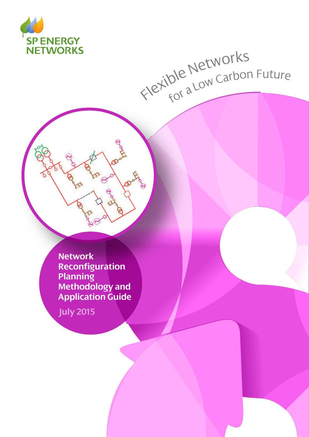

# Flexible Networks<br>Flexible Networks

**Network Reconfiguration Planning Methodology and Application Guide**

**July 2015**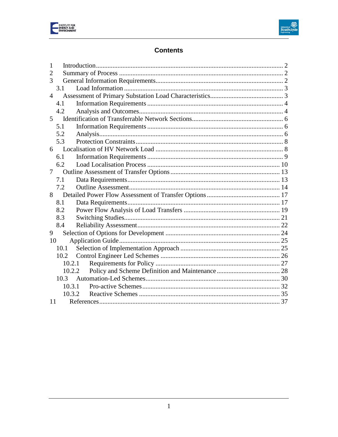



# **Contents**

| 1  |        |  |
|----|--------|--|
| 2  |        |  |
| 3  |        |  |
|    | 3.1    |  |
| 4  |        |  |
|    | 4.1    |  |
|    | 4.2    |  |
| 5  |        |  |
|    | 5.1    |  |
|    | 5.2    |  |
|    | 5.3    |  |
|    | 6      |  |
|    | 6.1    |  |
|    | 6.2    |  |
| 7  |        |  |
|    | 7.1    |  |
|    | 7.2    |  |
| 8  |        |  |
|    | 8.1    |  |
|    | 8.2    |  |
|    | 8.3    |  |
|    | 8.4    |  |
| 9  |        |  |
| 10 |        |  |
|    | 10.1   |  |
|    | 10.2   |  |
|    | 10.2.1 |  |
|    | 10.2.2 |  |
|    | 10.3   |  |
|    | 10.3.1 |  |
|    | 10.3.2 |  |
| 11 |        |  |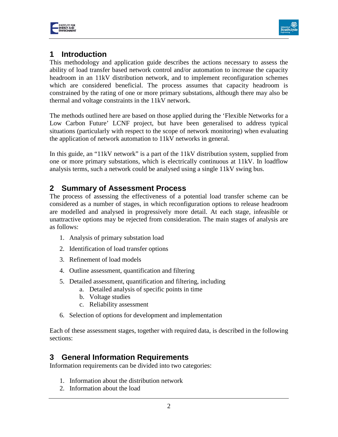



# <span id="page-2-0"></span>**1 Introduction**

This methodology and application guide describes the actions necessary to assess the ability of load transfer based network control and/or automation to increase the capacity headroom in an 11kV distribution network, and to implement reconfiguration schemes which are considered beneficial. The process assumes that capacity headroom is constrained by the rating of one or more primary substations, although there may also be thermal and voltage constraints in the 11kV network.

The methods outlined here are based on those applied during the 'Flexible Networks for a Low Carbon Future' LCNF project, but have been generalised to address typical situations (particularly with respect to the scope of network monitoring) when evaluating the application of network automation to 11kV networks in general.

In this guide, an "11kV network" is a part of the 11kV distribution system, supplied from one or more primary substations, which is electrically continuous at 11kV. In loadflow analysis terms, such a network could be analysed using a single 11kV swing bus.

# <span id="page-2-1"></span>**2 Summary of Assessment Process**

The process of assessing the effectiveness of a potential load transfer scheme can be considered as a number of stages, in which reconfiguration options to release headroom are modelled and analysed in progressively more detail. At each stage, infeasible or unattractive options may be rejected from consideration. The main stages of analysis are as follows:

- 1. Analysis of primary substation load
- 2. Identification of load transfer options
- 3. Refinement of load models
- 4. Outline assessment, quantification and filtering
- 5. Detailed assessment, quantification and filtering, including
	- a. Detailed analysis of specific points in time
	- b. Voltage studies
	- c. Reliability assessment
- 6. Selection of options for development and implementation

Each of these assessment stages, together with required data, is described in the following sections:

# <span id="page-2-2"></span>**3 General Information Requirements**

Information requirements can be divided into two categories:

- 1. Information about the distribution network
- 2. Information about the load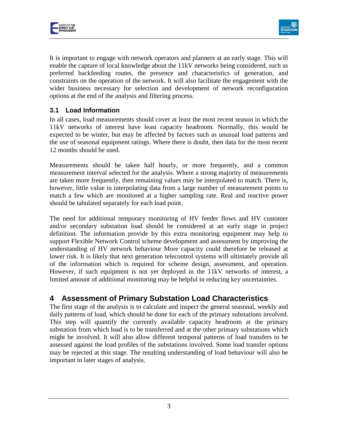



It is important to engage with network operators and planners at an early stage. This will enable the capture of local knowledge about the 11kV networks being considered, such as preferred backfeeding routes, the presence and characteristics of generation, and constraints on the operation of the network. It will also facilitate the engagement with the wider business necessary for selection and development of network reconfiguration options at the end of the analysis and filtering process.

#### <span id="page-3-0"></span>**3.1 Load Information**

In all cases, load measurements should cover at least the most recent season in which the 11kV networks of interest have least capacity headroom. Normally, this would be expected to be winter, but may be affected by factors such as unusual load patterns and the use of seasonal equipment ratings. Where there is doubt, then data for the most recent 12 months should be used.

Measurements should be taken half hourly, or more frequently, and a common measurement interval selected for the analysis. Where a strong majority of measurements are taken more frequently, then remaining values may be interpolated to match. There is, however, little value in interpolating data from a large number of measurement points to match a few which are monitored at a higher sampling rate. Real and reactive power should be tabulated separately for each load point.

The need for additional temporary monitoring of HV feeder flows and HV customer and/or secondary substation load should be considered at an early stage in project definition. The information provide by this extra monitoring equipment may help to support Flexible Network Control scheme development and assessment by improving the understanding of HV network behaviour More capacity could therefore be released at lower risk. It is likely that next generation telecontrol systems will ultimately provide all of the information which is required for scheme design, assessment, and operation. However, if such equipment is not yet deployed in the 11kV networks of interest, a limited amount of additional monitoring may be helpful in reducing key uncertainties.

# <span id="page-3-1"></span>**4 Assessment of Primary Substation Load Characteristics**

The first stage of the analysis is to calculate and inspect the general seasonal, weekly and daily patterns of load, which should be done for each of the primary substations involved. This step will quantify the currently available capacity headroom at the primary substation from which load is to be transferred and at the other primary substations which might be involved. It will also allow different temporal patterns of load transfers to be assessed against the load profiles of the substations involved. Some load transfer options may be rejected at this stage. The resulting understanding of load behaviour will also be important in later stages of analysis.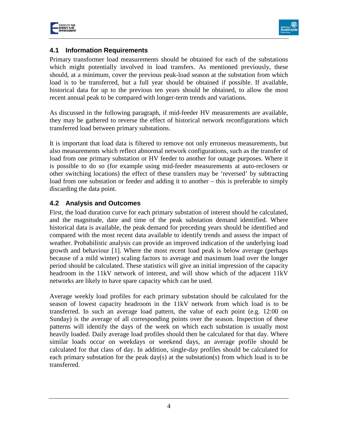



#### <span id="page-4-0"></span>**4.1 Information Requirements**

Primary transformer load measurements should be obtained for each of the substations which might potentially involved in load transfers. As mentioned previously, these should, at a minimum, cover the previous peak-load season at the substation from which load is to be transferred, but a full year should be obtained if possible. If available, historical data for up to the previous ten years should be obtained, to allow the most recent annual peak to be compared with longer-term trends and variations.

As discussed in the following paragraph, if mid-feeder HV measurements are available, they may be gathered to reverse the effect of historical network reconfigurations which transferred load between primary substations.

It is important that load data is filtered to remove not only erroneous measurements, but also measurements which reflect abnormal network configurations, such as the transfer of load from one primary substation or HV feeder to another for outage purposes. Where it is possible to do so (for example using mid-feeder measurements at auto-reclosers or other switching locations) the effect of these transfers may be 'reversed' by subtracting load from one substation or feeder and adding it to another – this is preferable to simply discarding the data point.

#### <span id="page-4-1"></span>**4.2 Analysis and Outcomes**

First, the load duration curve for each primary substation of interest should be calculated, and the magnitude, date and time of the peak substation demand identified. Where historical data is available, the peak demand for preceding years should be identified and compared with the most recent data available to identify trends and assess the impact of weather. Probabilistic analysis can provide an improved indication of the underlying load growth and behaviour [[1\]](#page-38-0). Where the most recent load peak is below average (perhaps because of a mild winter) scaling factors to average and maximum load over the longer period should be calculated. These statistics will give an initial impression of the capacity headroom in the 11kV network of interest, and will show which of the adjacent 11kV networks are likely to have spare capacity which can be used.

Average weekly load profiles for each primary substation should be calculated for the season of lowest capacity headroom in the 11kV network from which load is to be transferred. In such an average load pattern, the value of each point (e.g. 12:00 on Sunday) is the average of all corresponding points over the season. Inspection of these patterns will identify the days of the week on which each substation is usually most heavily loaded. Daily average load profiles should then be calculated for that day. Where similar loads occur on weekdays or weekend days, an average profile should be calculated for that class of day. In addition, single-day profiles should be calculated for each primary substation for the peak day(s) at the substation(s) from which load is to be transferred.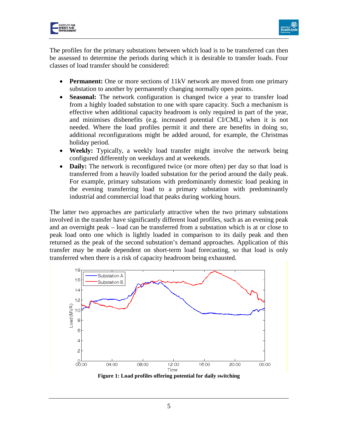



The profiles for the primary substations between which load is to be transferred can then be assessed to determine the periods during which it is desirable to transfer loads. Four classes of load transfer should be considered:

- **Permanent:** One or more sections of 11kV network are moved from one primary substation to another by permanently changing normally open points.
- **Seasonal:** The network configuration is changed twice a year to transfer load from a highly loaded substation to one with spare capacity. Such a mechanism is effective when additional capacity headroom is only required in part of the year, and minimises disbenefits (e.g. increased potential CI/CML) when it is not needed. Where the load profiles permit it and there are benefits in doing so, additional reconfigurations might be added around, for example, the Christmas holiday period.
- **Weekly:** Typically, a weekly load transfer might involve the network being configured differently on weekdays and at weekends.
- **Daily:** The network is reconfigured twice (or more often) per day so that load is transferred from a heavily loaded substation for the period around the daily peak. For example, primary substations with predominantly domestic load peaking in the evening transferring load to a primary substation with predominantly industrial and commercial load that peaks during working hours.

The latter two approaches are particularly attractive when the two primary substations involved in the transfer have significantly different load profiles, such as an evening peak and an overnight peak – load can be transferred from a substation which is at or close to peak load onto one which is lightly loaded in comparison to its daily peak and then returned as the peak of the second substation's demand approaches. Application of this transfer may be made dependent on short-term load forecasting, so that load is only transferred when there is a risk of capacity headroom being exhausted.

<span id="page-5-0"></span>

**Figure 1: Load profiles offering potential for daily switching**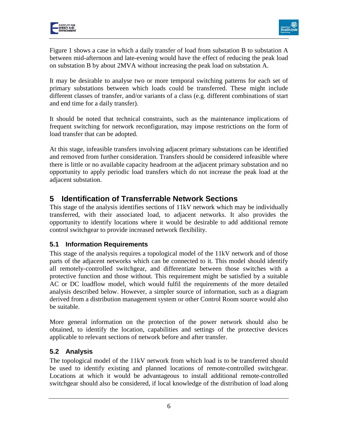

[Figure 1](#page-5-0) shows a case in which a daily transfer of load from substation B to substation A between mid-afternoon and late-evening would have the effect of reducing the peak load on substation B by about 2MVA without increasing the peak load on substation A.

It may be desirable to analyse two or more temporal switching patterns for each set of primary substations between which loads could be transferred. These might include different classes of transfer, and/or variants of a class (e.g. different combinations of start and end time for a daily transfer).

It should be noted that technical constraints, such as the maintenance implications of frequent switching for network reconfiguration, may impose restrictions on the form of load transfer that can be adopted.

At this stage, infeasible transfers involving adjacent primary substations can be identified and removed from further consideration. Transfers should be considered infeasible where there is little or no available capacity headroom at the adjacent primary substation and no opportunity to apply periodic load transfers which do not increase the peak load at the adjacent substation.

# <span id="page-6-0"></span>**5 Identification of Transferrable Network Sections**

This stage of the analysis identifies sections of 11kV network which may be individually transferred, with their associated load, to adjacent networks. It also provides the opportunity to identify locations where it would be desirable to add additional remote control switchgear to provide increased network flexibility.

## <span id="page-6-1"></span>**5.1 Information Requirements**

This stage of the analysis requires a topological model of the 11kV network and of those parts of the adjacent networks which can be connected to it. This model should identify all remotely-controlled switchgear, and differentiate between those switches with a protective function and those without. This requirement might be satisfied by a suitable AC or DC loadflow model, which would fulfil the requirements of the more detailed analysis described below. However, a simpler source of information, such as a diagram derived from a distribution management system or other Control Room source would also be suitable.

More general information on the protection of the power network should also be obtained, to identify the location, capabilities and settings of the protective devices applicable to relevant sections of network before and after transfer.

## <span id="page-6-2"></span>**5.2 Analysis**

The topological model of the 11kV network from which load is to be transferred should be used to identify existing and planned locations of remote-controlled switchgear. Locations at which it would be advantageous to install additional remote-controlled switchgear should also be considered, if local knowledge of the distribution of load along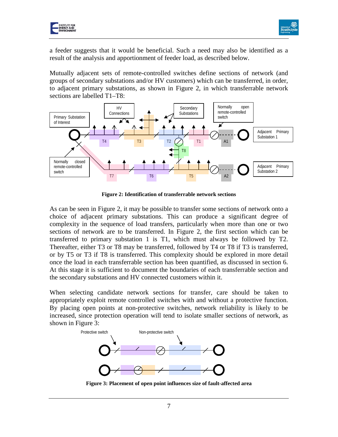



a feeder suggests that it would be beneficial. Such a need may also be identified as a result of the analysis and apportionment of feeder load, as described below.

Mutually adjacent sets of remote-controlled switches define sections of network (and groups of secondary substations and/or HV customers) which can be transferred, in order, to adjacent primary substations, as shown in [Figure 2,](#page-7-0) in which transferrable network sections are labelled T1–T8:



**Figure 2: Identification of transferrable network sections**

<span id="page-7-0"></span>As can be seen in [Figure 2,](#page-7-0) it may be possible to transfer some sections of network onto a choice of adjacent primary substations. This can produce a significant degree of complexity in the sequence of load transfers, particularly when more than one or two sections of network are to be transferred. In [Figure 2,](#page-7-0) the first section which can be transferred to primary substation 1 is T1, which must always be followed by T2. Thereafter, either T3 or T8 may be transferred, followed by T4 or T8 if T3 is transferred, or by T5 or T3 if T8 is transferred. This complexity should be explored in more detail once the load in each transferrable section has been quantified, as discussed in section 6. At this stage it is sufficient to document the boundaries of each transferrable section and the secondary substations and HV connected customers within it.

When selecting candidate network sections for transfer, care should be taken to appropriately exploit remote controlled switches with and without a protective function. By placing open points at non-protective switches, network reliability is likely to be increased, since protection operation will tend to isolate smaller sections of network, as shown in [Figure 3:](#page-7-1)



<span id="page-7-1"></span>**Figure 3: Placement of open point influences size of fault-affected area**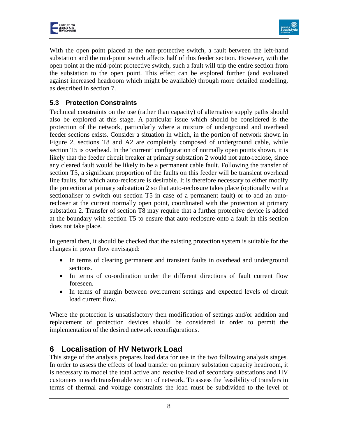



With the open point placed at the non-protective switch, a fault between the left-hand substation and the mid-point switch affects half of this feeder section. However, with the open point at the mid-point protective switch, such a fault will trip the entire section from the substation to the open point. This effect can be explored further (and evaluated against increased headroom which might be available) through more detailed modelling, as described in section [7.](#page-13-0)

## <span id="page-8-0"></span>**5.3 Protection Constraints**

Technical constraints on the use (rather than capacity) of alternative supply paths should also be explored at this stage. A particular issue which should be considered is the protection of the network, particularly where a mixture of underground and overhead feeder sections exists. Consider a situation in which, in the portion of network shown in [Figure 2,](#page-7-0) sections T8 and A2 are completely composed of underground cable, while section T5 is overhead. In the 'current' configuration of normally open points shown, it is likely that the feeder circuit breaker at primary substation 2 would not auto-reclose, since any cleared fault would be likely to be a permanent cable fault. Following the transfer of section T5, a significant proportion of the faults on this feeder will be transient overhead line faults, for which auto-reclosure is desirable. It is therefore necessary to either modify the protection at primary substation 2 so that auto-reclosure takes place (optionally with a sectionaliser to switch out section T5 in case of a permanent fault) or to add an autorecloser at the current normally open point, coordinated with the protection at primary substation 2. Transfer of section T8 may require that a further protective device is added at the boundary with section T5 to ensure that auto-reclosure onto a fault in this section does not take place.

In general then, it should be checked that the existing protection system is suitable for the changes in power flow envisaged:

- In terms of clearing permanent and transient faults in overhead and underground sections.
- In terms of co-ordination under the different directions of fault current flow foreseen.
- In terms of margin between overcurrent settings and expected levels of circuit load current flow.

Where the protection is unsatisfactory then modification of settings and/or addition and replacement of protection devices should be considered in order to permit the implementation of the desired network reconfigurations.

# <span id="page-8-1"></span>**6 Localisation of HV Network Load**

This stage of the analysis prepares load data for use in the two following analysis stages. In order to assess the effects of load transfer on primary substation capacity headroom, it is necessary to model the total active and reactive load of secondary substations and HV customers in each transferrable section of network. To assess the feasibility of transfers in terms of thermal and voltage constraints the load must be subdivided to the level of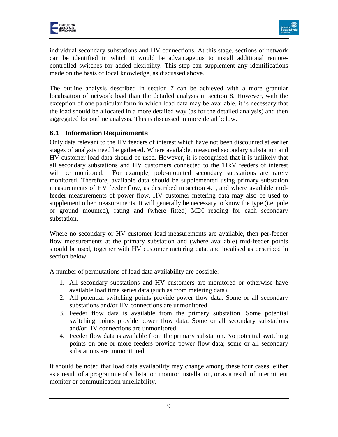



individual secondary substations and HV connections. At this stage, sections of network can be identified in which it would be advantageous to install additional remotecontrolled switches for added flexibility. This step can supplement any identifications made on the basis of local knowledge, as discussed above.

The outline analysis described in section 7 can be achieved with a more granular localisation of network load than the detailed analysis in section 8. However, with the exception of one particular form in which load data may be available, it is necessary that the load should be allocated in a more detailed way (as for the detailed analysis) and then aggregated for outline analysis. This is discussed in more detail below.

#### <span id="page-9-0"></span>**6.1 Information Requirements**

Only data relevant to the HV feeders of interest which have not been discounted at earlier stages of analysis need be gathered. Where available, measured secondary substation and HV customer load data should be used. However, it is recognised that it is unlikely that all secondary substations and HV customers connected to the 11kV feeders of interest will be monitored. For example, pole-mounted secondary substations are rarely monitored. Therefore, available data should be supplemented using primary substation measurements of HV feeder flow, as described in section 4.1, and where available midfeeder measurements of power flow. HV customer metering data may also be used to supplement other measurements. It will generally be necessary to know the type (i.e. pole or ground mounted), rating and (where fitted) MDI reading for each secondary substation.

Where no secondary or HV customer load measurements are available, then per-feeder flow measurements at the primary substation and (where available) mid-feeder points should be used, together with HV customer metering data, and localised as described in section below.

A number of permutations of load data availability are possible:

- 1. All secondary substations and HV customers are monitored or otherwise have available load time series data (such as from metering data).
- 2. All potential switching points provide power flow data. Some or all secondary substations and/or HV connections are unmonitored.
- 3. Feeder flow data is available from the primary substation. Some potential switching points provide power flow data. Some or all secondary substations and/or HV connections are unmonitored.
- 4. Feeder flow data is available from the primary substation. No potential switching points on one or more feeders provide power flow data; some or all secondary substations are unmonitored.

It should be noted that load data availability may change among these four cases, either as a result of a programme of substation monitor installation, or as a result of intermittent monitor or communication unreliability.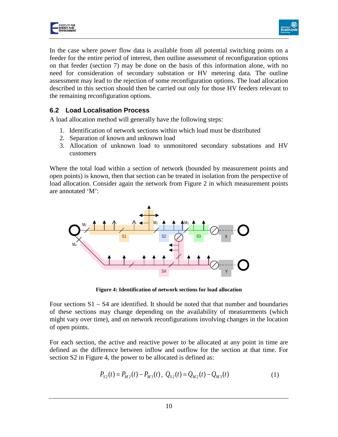



In the case where power flow data is available from all potential switching points on a feeder for the entire period of interest, then outline assessment of reconfiguration options on that feeder (section 7) may be done on the basis of this information alone, with no need for consideration of secondary substation or HV metering data. The outline assessment may lead to the rejection of some reconfiguration options. The load allocation described in this section should then be carried out only for those HV feeders relevant to the remaining reconfiguration options.

#### <span id="page-10-0"></span>**6.2 Load Localisation Process**

A load allocation method will generally have the following steps:

- 1. Identification of network sections within which load must be distributed
- 2. Separation of known and unknown load
- 3. Allocation of unknown load to unmonitored secondary substations and HV customers

Where the total load within a section of network (bounded by measurement points and open points) is known, then that section can be treated in isolation from the perspective of load allocation. Consider again the network from Figure 2 in which measurement points are annotated 'M':



**Figure 4: Identification of network sections for load allocation**

Four sections  $S1 - S4$  are identified. It should be noted that that number and boundaries of these sections may change depending on the availability of measurements (which might vary over time), and on network reconfigurations involving changes in the location of open points.

For each section, the active and reactive power to be allocated at any point in time are defined as the difference between inflow and outflow for the section at that time. For section S2 in Figure 4, the power to be allocated is defined as:

$$
P_{S2}(t) = P_{M2}(t) - P_{M3}(t), \ Q_{S2}(t) = Q_{M2}(t) - Q_{M3}(t)
$$
 (1)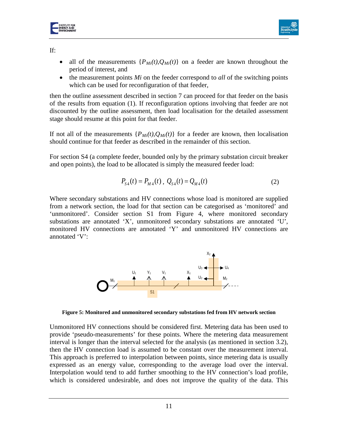



If:

- all of the measurements  $\{P_{Mi}(t), Q_{Mi}(t)\}$  on a feeder are known throughout the period of interest, and
- the measurement points *Mi* on the feeder correspond to *all* of the switching points which can be used for reconfiguration of that feeder,

then the outline assessment described in section 7 can proceed for that feeder on the basis of the results from equation (1). If reconfiguration options involving that feeder are not discounted by the outline assessment, then load localisation for the detailed assessment stage should resume at this point for that feeder.

If not all of the measurements  $\{P_{Mi}(t), Q_{Mi}(t)\}$  for a feeder are known, then localisation should continue for that feeder as described in the remainder of this section.

For section S4 (a complete feeder, bounded only by the primary substation circuit breaker and open points), the load to be allocated is simply the measured feeder load:

$$
P_{S4}(t) = P_{M4}(t), \ Q_{S4}(t) = Q_{M4}(t) \tag{2}
$$

Where secondary substations and HV connections whose load is monitored are supplied from a network section, the load for that section can be categorised as 'monitored' and 'unmonitored'. Consider section S1 from Figure 4, where monitored secondary substations are annotated 'X', unmonitored secondary substations are annotated 'U', monitored HV connections are annotated 'Y' and unmonitored HV connections are annotated 'V':



**Figure 5: Monitored and unmonitored secondary substations fed from HV network section**

Unmonitored HV connections should be considered first. Metering data has been used to provide 'pseudo-measurements' for these points. Where the metering data measurement interval is longer than the interval selected for the analysis (as mentioned in section 3.2), then the HV connection load is assumed to be constant over the measurement interval. This approach is preferred to interpolation between points, since metering data is usually expressed as an energy value, corresponding to the average load over the interval. Interpolation would tend to add further smoothing to the HV connection's load profile, which is considered undesirable, and does not improve the quality of the data. This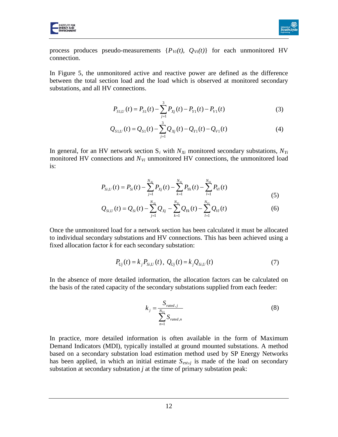



process produces pseudo-measurements  $\{P_{Vi}(t), Q_{Vi}(t)\}$  for each unmonitored HV connection.

In Figure 5, the unmonitored active and reactive power are defined as the difference between the total section load and the load which is observed at monitored secondary substations, and all HV connections.

$$
P_{S1,U}(t) = P_{S1}(t) - \sum_{j=1}^{3} P_{Xj}(t) - P_{Y1}(t) - P_{V1}(t)
$$
\n(3)

$$
Q_{s1,U}(t) = Q_{s1}(t) - \sum_{j=1}^{3} Q_{Xj}(t) - Q_{Y1}(t) - Q_{V1}(t)
$$
\n(4)

In general, for an HV network section  $S_i$  with  $N_{Xi}$  monitored secondary substations,  $N_{Yi}$ monitored HV connections and  $N_{Vi}$  unmonitored HV connections, the unmonitored load is:

$$
P_{Si,U}(t) = P_{Si}(t) - \sum_{j=1}^{N_{Xi}} P_{Xj}(t) - \sum_{k=1}^{N_{Yi}} P_{Yk}(t) - \sum_{l=1}^{N_{Vi}} P_{VI}(t)
$$
\n(5)

$$
Q_{Si,U}(t) = Q_{Si}(t) - \sum_{j=1}^{N_{Xi}} Q_{Xj} - \sum_{k=1}^{N_{Yi}} Q_{Yk}(t) - \sum_{l=1}^{N_{Vi}} Q_{VI}(t)
$$
(6)

Once the unmonitored load for a network section has been calculated it must be allocated to individual secondary substations and HV connections. This has been achieved using a fixed allocation factor *k* for each secondary substation:

$$
P_{Uj}(t) = k_j P_{Si,U}(t), \ Q_{Uj}(t) = k_j Q_{Si,U}(t) \tag{7}
$$

In the absence of more detailed information, the allocation factors can be calculated on the basis of the rated capacity of the secondary substations supplied from each feeder:

$$
k_j = \frac{S_{rated,j}}{\sum_{n=1}^{N_{Ul}} S_{rated,n}}
$$
(8)

In practice, more detailed information is often available in the form of Maximum Demand Indicators (MDI), typically installed at ground mounted substations. A method based on a secondary substation load estimation method used by SP Energy Networks has been applied, in which an initial estimate  $S_{est,j}$  is made of the load on secondary substation at secondary substation *j* at the time of primary substation peak: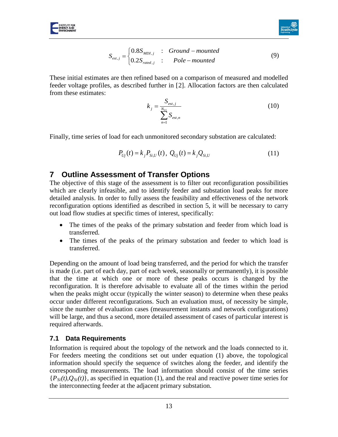

$$
S_{est,j} = \begin{cases} 0.8S_{MDI,j} & \text{: } Ground-mounted \\ 0.2S_{rated,j} & \text{: } Pole-mounted \end{cases} \tag{9}
$$

These initial estimates are then refined based on a comparison of measured and modelled feeder voltage profiles, as described further in [[2](#page-38-1)]. Allocation factors are then calculated from these estimates:

$$
k_{j} = \frac{S_{est,j}}{\sum_{n=1}^{N_{Ui}} S_{est,n}}
$$
(10)

Finally, time series of load for each unmonitored secondary substation are calculated:

$$
P_{Uj}(t) = k_j P_{Si,U}(t), \ Q_{Uj}(t) = k_j Q_{Si,U}
$$
\n(11)

## <span id="page-13-0"></span>**7 Outline Assessment of Transfer Options**

The objective of this stage of the assessment is to filter out reconfiguration possibilities which are clearly infeasible, and to identify feeder and substation load peaks for more detailed analysis. In order to fully assess the feasibility and effectiveness of the network reconfiguration options identified as described in section [5,](#page-6-0) it will be necessary to carry out load flow studies at specific times of interest, specifically:

- The times of the peaks of the primary substation and feeder from which load is transferred.
- The times of the peaks of the primary substation and feeder to which load is transferred.

Depending on the amount of load being transferred, and the period for which the transfer is made (i.e. part of each day, part of each week, seasonally or permanently), it is possible that the time at which one or more of these peaks occurs is changed by the reconfiguration. It is therefore advisable to evaluate all of the times within the period when the peaks might occur (typically the winter season) to determine when these peaks occur under different reconfigurations. Such an evaluation must, of necessity be simple, since the number of evaluation cases (measurement instants and network configurations) will be large, and thus a second, more detailed assessment of cases of particular interest is required afterwards.

#### <span id="page-13-1"></span>**7.1 Data Requirements**

Information is required about the topology of the network and the loads connected to it. For feeders meeting the conditions set out under equation (1) above, the topological information should specify the sequence of switches along the feeder, and identify the corresponding measurements. The load information should consist of the time series  ${P_{Si}(t), Q_{Si}(t)}$ , as specified in equation (1), and the real and reactive power time series for the interconnecting feeder at the adjacent primary substation.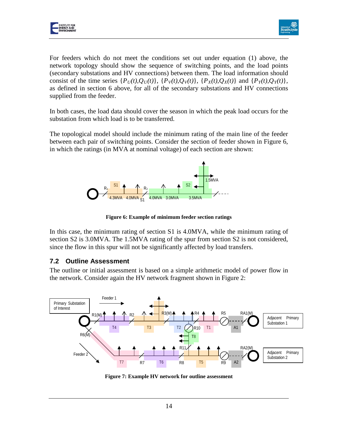



For feeders which do not meet the conditions set out under equation (1) above, the network topology should show the sequence of switching points, and the load points (secondary substations and HV connections) between them. The load information should consist of the time series  $\{P_U(t),Q_U(t)\}\$ ,  $\{P_V(t),Q_V(t)\}\$ ,  $\{P_X(t),Q_X(t)\}\$  and  $\{P_Y(t),Q_Y(t)\}\$ , as defined in section 6 above, for all of the secondary substations and HV connections supplied from the feeder.

In both cases, the load data should cover the season in which the peak load occurs for the substation from which load is to be transferred.

The topological model should include the minimum rating of the main line of the feeder between each pair of switching points. Consider the section of feeder shown in Figure 6, in which the ratings (in MVA at nominal voltage) of each section are shown:



**Figure 6: Example of minimum feeder section ratings**

In this case, the minimum rating of section S1 is 4.0MVA, while the minimum rating of section S2 is 3.0MVA. The 1.5MVA rating of the spur from section S2 is not considered, since the flow in this spur will not be significantly affected by load transfers.

#### <span id="page-14-0"></span>**7.2 Outline Assessment**

The outline or initial assessment is based on a simple arithmetic model of power flow in the network. Consider again the HV network fragment shown in [Figure 2:](#page-7-0)



**Figure 7: Example HV network for outline assessment**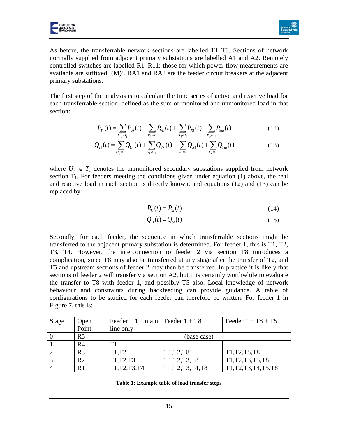

As before, the transferrable network sections are labelled T1–T8. Sections of network normally supplied from adjacent primary substations are labelled A1 and A2. Remotely controlled switches are labelled R1–R11; those for which power flow measurements are available are suffixed '(M)'. RA1 and RA2 are the feeder circuit breakers at the adjacent primary substations.

The first step of the analysis is to calculate the time series of active and reactive load for each transferrable section, defined as the sum of monitored and unmonitored load in that section:

$$
P_{Ti}(t) = \sum_{U_j \in T_i} P_{Uj}(t) + \sum_{V_k \in T_i} P_{Vk}(t) + \sum_{X_i \in T_i} P_{Xl}(t) + \sum_{Y_m \in T_i} P_{Ym}(t)
$$
(12)

$$
Q_{Ti}(t) = \sum_{U_j \in T_i} Q_{Uj}(t) + \sum_{V_k \in T_i} Q_{Vk}(t) + \sum_{X_l \in T_i} Q_{Xl}(t) + \sum_{Y_m \in T_i} Q_{Ym}(t)
$$
(13)

where  $U_j \in T_i$  denotes the unmonitored secondary substations supplied from network section  $T_i$ . For feeders meeting the conditions given under equation (1) above, the real and reactive load in each section is directly known, and equations (12) and (13) can be replaced by:

$$
P_{Ti}(t) = P_{Si}(t) \tag{14}
$$

$$
Q_{Ti}(t) = Q_{Si}(t) \tag{15}
$$

Secondly, for each feeder, the sequence in which transferrable sections might be transferred to the adjacent primary substation is determined. For feeder 1, this is T1, T2, T3, T4. However, the interconnection to feeder 2 via section T8 introduces a complication, since T8 may also be transferred at any stage after the transfer of T2, and T5 and upstream sections of feeder 2 may then be transferred. In practice it is likely that sections of feeder 2 will transfer via section A2, but it is certainly worthwhile to evaluate the transfer to T8 with feeder 1, and possibly T5 also. Local knowledge of network behaviour and constraints during backfeeding can provide guidance. A table of configurations to be studied for each feeder can therefore be written. For feeder 1 in Figure 7, this is:

<span id="page-15-0"></span>

| <b>Stage</b> | Open           | Feeder 1                       | main   Feeder $1 + T8$                         | Feeder $1 + T8 + T5$   |  |
|--------------|----------------|--------------------------------|------------------------------------------------|------------------------|--|
|              | Point          | line only                      |                                                |                        |  |
|              | R <sub>5</sub> | (base case)                    |                                                |                        |  |
|              | R <sub>4</sub> | T1                             |                                                |                        |  |
|              | R <sub>3</sub> | T <sub>1</sub> ,T <sub>2</sub> | T <sub>1</sub> ,T <sub>2</sub> ,T <sub>8</sub> | T1, T2, T5, T8         |  |
|              | R <sub>2</sub> | T1, T2, T3                     | T1, T2, T3, T8                                 | T1, T2, T3, T5, T8     |  |
|              | R1             | T1, T2, T3, T4                 | T1, T2, T3, T4, T8                             | T1, T2, T3, T4, T5, T8 |  |

| Table 1: Example table of load transfer steps |  |  |  |  |
|-----------------------------------------------|--|--|--|--|
|-----------------------------------------------|--|--|--|--|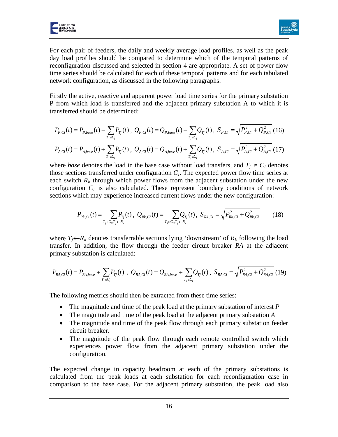



For each pair of feeders, the daily and weekly average load profiles, as well as the peak day load profiles should be compared to determine which of the temporal patterns of reconfiguration discussed and selected in section [4](#page-3-1) are appropriate. A set of power flow time series should be calculated for each of these temporal patterns and for each tabulated network configuration, as discussed in the following paragraphs.

Firstly the active, reactive and apparent power load time series for the primary substation P from which load is transferred and the adjacent primary substation A to which it is transferred should be determined:

$$
P_{P,Ci}(t) = P_{P,base}(t) - \sum_{T_j \in C_i} P_{Tj}(t), \ Q_{P,Ci}(t) = Q_{P,base}(t) - \sum_{T_j \in C_i} Q_{Tj}(t), \ S_{P,Ci} = \sqrt{P_{P,Ci}^2 + Q_{P,Ci}^2} (16)
$$
  

$$
P_{A,Ci}(t) = P_{A,base}(t) + \sum_{T_j \in C_i} P_{Tj}(t), \ Q_{A,Ci}(t) = Q_{A,base}(t) + \sum_{T_j \in C_i} Q_{Tj}(t), \ S_{A,Ci} = \sqrt{P_{A,Ci}^2 + Q_{A,Ci}^2} (17)
$$

where *base* denotes the load in the base case without load transfers, and  $T_j \in C_i$  denotes those sections transferred under configuration  $C_i$ . The expected power flow time series at each switch  $R_k$  through which power flows from the adjacent substation under the new configuration  $C_i$  is also calculated. These represent boundary conditions of network sections which may experience increased current flows under the new configuration:

$$
P_{Rk,Ci}(t) = \sum_{T_j \in C_i, T_j \leftarrow R_k} P_{Tj}(t), \ Q_{Rk,Ci}(t) = \sum_{T_j \in C_i, T_j \leftarrow R_k} Q_{Tj}(t), \ S_{Rk,Ci} = \sqrt{P_{Rk,Ci}^2 + Q_{Rk,Ci}^2}
$$
(18)

where  $T_j \leftarrow R_k$  denotes transferrable sections lying 'downstream' of  $R_k$  following the load transfer. In addition, the flow through the feeder circuit breaker *RA* at the adjacent primary substation is calculated:

$$
P_{RA,Ci}(t) = P_{RA,base} + \sum_{T_j \in C_i} P_{Tj}(t) , Q_{RA,Ci}(t) = Q_{RA,base} + \sum_{T_j \in C_i} Q_{Tj}(t) , S_{RA,Ci} = \sqrt{P_{RA,Ci}^2 + Q_{RA,Ci}^2}
$$
(19)

The following metrics should then be extracted from these time series:

- The magnitude and time of the peak load at the primary substation of interest *P*
- The magnitude and time of the peak load at the adjacent primary substation *A*
- The magnitude and time of the peak flow through each primary substation feeder circuit breaker.
- The magnitude of the peak flow through each remote controlled switch which experiences power flow from the adjacent primary substation under the configuration.

The expected change in capacity headroom at each of the primary substations is calculated from the peak loads at each substation for each reconfiguration case in comparison to the base case. For the adjacent primary substation, the peak load also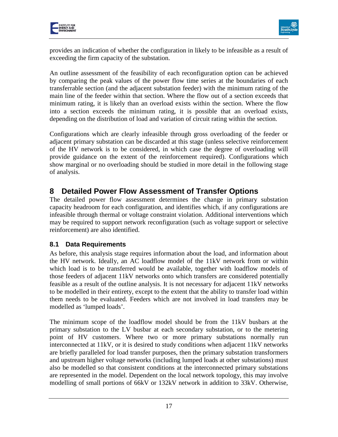



provides an indication of whether the configuration in likely to be infeasible as a result of exceeding the firm capacity of the substation.

An outline assessment of the feasibility of each reconfiguration option can be achieved by comparing the peak values of the power flow time series at the boundaries of each transferrable section (and the adjacent substation feeder) with the minimum rating of the main line of the feeder within that section. Where the flow out of a section exceeds that minimum rating, it is likely than an overload exists within the section. Where the flow into a section exceeds the minimum rating, it is possible that an overload exists, depending on the distribution of load and variation of circuit rating within the section.

Configurations which are clearly infeasible through gross overloading of the feeder or adjacent primary substation can be discarded at this stage (unless selective reinforcement of the HV network is to be considered, in which case the degree of overloading will provide guidance on the extent of the reinforcement required). Configurations which show marginal or no overloading should be studied in more detail in the following stage of analysis.

# <span id="page-17-0"></span>**8 Detailed Power Flow Assessment of Transfer Options**

The detailed power flow assessment determines the change in primary substation capacity headroom for each configuration, and identifies which, if any configurations are infeasible through thermal or voltage constraint violation. Additional interventions which may be required to support network reconfiguration (such as voltage support or selective reinforcement) are also identified.

#### <span id="page-17-1"></span>**8.1 Data Requirements**

As before, this analysis stage requires information about the load, and information about the HV network. Ideally, an AC loadflow model of the 11kV network from or within which load is to be transferred would be available, together with loadflow models of those feeders of adjacent 11kV networks onto which transfers are considered potentially feasible as a result of the outline analysis. It is not necessary for adjacent 11kV networks to be modelled in their entirety, except to the extent that the ability to transfer load within them needs to be evaluated. Feeders which are not involved in load transfers may be modelled as 'lumped loads'.

The minimum scope of the loadflow model should be from the 11kV busbars at the primary substation to the LV busbar at each secondary substation, or to the metering point of HV customers. Where two or more primary substations normally run interconnected at 11kV, or it is desired to study conditions when adjacent 11kV networks are briefly paralleled for load transfer purposes, then the primary substation transformers and upstream higher voltage networks (including lumped loads at other substations) must also be modelled so that consistent conditions at the interconnected primary substations are represented in the model. Dependent on the local network topology, this may involve modelling of small portions of 66kV or 132kV network in addition to 33kV. Otherwise,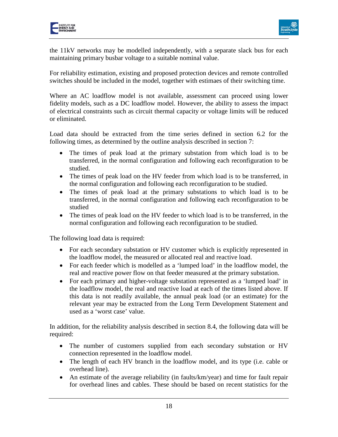



the 11kV networks may be modelled independently, with a separate slack bus for each maintaining primary busbar voltage to a suitable nominal value.

For reliability estimation, existing and proposed protection devices and remote controlled switches should be included in the model, together with estimaes of their switching time.

Where an AC loadflow model is not available, assessment can proceed using lower fidelity models, such as a DC loadflow model. However, the ability to assess the impact of electrical constraints such as circuit thermal capacity or voltage limits will be reduced or eliminated.

Load data should be extracted from the time series defined in section 6.2 for the following times, as determined by the outline analysis described in section 7:

- The times of peak load at the primary substation from which load is to be transferred, in the normal configuration and following each reconfiguration to be studied.
- The times of peak load on the HV feeder from which load is to be transferred, in the normal configuration and following each reconfiguration to be studied.
- The times of peak load at the primary substations to which load is to be transferred, in the normal configuration and following each reconfiguration to be studied
- The times of peak load on the HV feeder to which load is to be transferred, in the normal configuration and following each reconfiguration to be studied.

The following load data is required:

- For each secondary substation or HV customer which is explicitly represented in the loadflow model, the measured or allocated real and reactive load.
- For each feeder which is modelled as a 'lumped load' in the loadflow model, the real and reactive power flow on that feeder measured at the primary substation.
- For each primary and higher-voltage substation represented as a 'lumped load' in the loadflow model, the real and reactive load at each of the times listed above. If this data is not readily available, the annual peak load (or an estimate) for the relevant year may be extracted from the Long Term Development Statement and used as a 'worst case' value.

In addition, for the reliability analysis described in section 8.4, the following data will be required:

- The number of customers supplied from each secondary substation or HV connection represented in the loadflow model.
- The length of each HV branch in the loadflow model, and its type (i.e. cable or overhead line).
- An estimate of the average reliability (in faults/km/year) and time for fault repair for overhead lines and cables. These should be based on recent statistics for the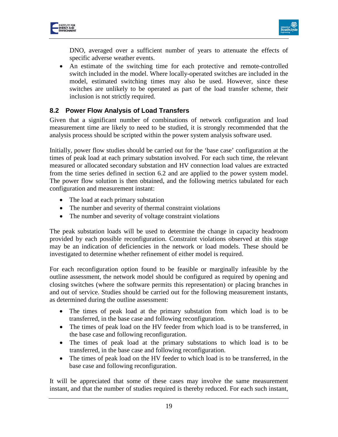

DNO, averaged over a sufficient number of years to attenuate the effects of specific adverse weather events.

• An estimate of the switching time for each protective and remote-controlled switch included in the model. Where locally-operated switches are included in the model, estimated switching times may also be used. However, since these switches are unlikely to be operated as part of the load transfer scheme, their inclusion is not strictly required.

#### <span id="page-19-0"></span>**8.2 Power Flow Analysis of Load Transfers**

Given that a significant number of combinations of network configuration and load measurement time are likely to need to be studied, it is strongly recommended that the analysis process should be scripted within the power system analysis software used.

Initially, power flow studies should be carried out for the 'base case' configuration at the times of peak load at each primary substation involved. For each such time, the relevant measured or allocated secondary substation and HV connection load values are extracted from the time series defined in section 6.2 and are applied to the power system model. The power flow solution is then obtained, and the following metrics tabulated for each configuration and measurement instant:

- The load at each primary substation
- The number and severity of thermal constraint violations
- The number and severity of voltage constraint violations

The peak substation loads will be used to determine the change in capacity headroom provided by each possible reconfiguration. Constraint violations observed at this stage may be an indication of deficiencies in the network or load models. These should be investigated to determine whether refinement of either model is required.

For each reconfiguration option found to be feasible or marginally infeasible by the outline assessment, the network model should be configured as required by opening and closing switches (where the software permits this representation) or placing branches in and out of service. Studies should be carried out for the following measurement instants, as determined during the outline assessment:

- The times of peak load at the primary substation from which load is to be transferred, in the base case and following reconfiguration.
- The times of peak load on the HV feeder from which load is to be transferred, in the base case and following reconfiguration.
- The times of peak load at the primary substations to which load is to be transferred, in the base case and following reconfiguration.
- The times of peak load on the HV feeder to which load is to be transferred, in the base case and following reconfiguration.

It will be appreciated that some of these cases may involve the same measurement instant, and that the number of studies required is thereby reduced. For each such instant,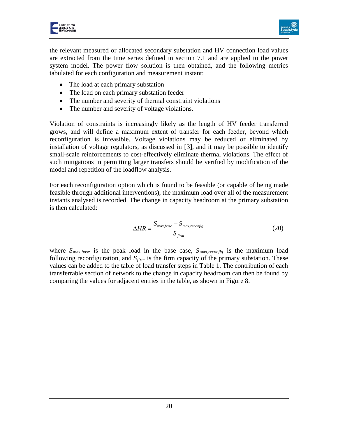



the relevant measured or allocated secondary substation and HV connection load values are extracted from the time series defined in section [7.1](#page-13-1) and are applied to the power system model. The power flow solution is then obtained, and the following metrics tabulated for each configuration and measurement instant:

- The load at each primary substation
- The load on each primary substation feeder
- The number and severity of thermal constraint violations
- The number and severity of voltage violations.

Violation of constraints is increasingly likely as the length of HV feeder transferred grows, and will define a maximum extent of transfer for each feeder, beyond which reconfiguration is infeasible. Voltage violations may be reduced or eliminated by installation of voltage regulators, as discussed in [[3](#page-38-2)], and it may be possible to identify small-scale reinforcements to cost-effectively eliminate thermal violations. The effect of such mitigations in permitting larger transfers should be verified by modification of the model and repetition of the loadflow analysis.

For each reconfiguration option which is found to be feasible (or capable of being made feasible through additional interventions), the maximum load over all of the measurement instants analysed is recorded. The change in capacity headroom at the primary substation is then calculated:

$$
\Delta HR = \frac{S_{\text{max},base} - S_{\text{max},reconfig}}{S_{\text{firm}}}
$$
 (20)

where *S*max*,base* is the peak load in the base case, *S*max*,reconfig* is the maximum load following reconfiguration, and  $S_{\text{firm}}$  is the firm capacity of the primary substation. These values can be added to the table of load transfer steps in [Table 1.](#page-15-0) The contribution of each transferrable section of network to the change in capacity headroom can then be found by comparing the values for adjacent entries in the table, as shown in [Figure 8.](#page-21-1)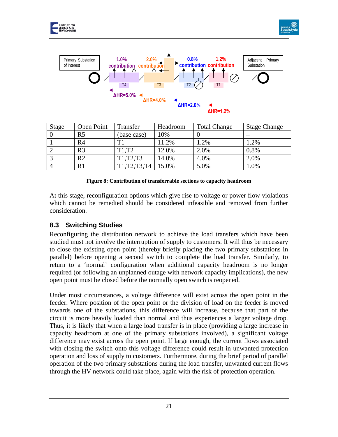





| <b>Stage</b> | Open Point     | Transfer          | Headroom | <b>Total Change</b> | <b>Stage Change</b> |
|--------------|----------------|-------------------|----------|---------------------|---------------------|
|              | R <sub>5</sub> | (base case)       | 10%      |                     |                     |
|              | R <sub>4</sub> | T1                | 11.2%    | 1.2%                | 1.2%                |
|              | R <sub>3</sub> | T <sub>1.T2</sub> | 12.0%    | 2.0%                | 0.8%                |
|              | R <sub>2</sub> | T1, T2, T3        | 14.0%    | 4.0%                | 2.0%                |
|              | R1             | T1, T2, T3, T4    | 15.0%    | 5.0%                | $1.0\%$             |

#### **Figure 8: Contribution of transferrable sections to capacity headroom**

<span id="page-21-1"></span>At this stage, reconfiguration options which give rise to voltage or power flow violations which cannot be remedied should be considered infeasible and removed from further consideration.

## <span id="page-21-0"></span>**8.3 Switching Studies**

Reconfiguring the distribution network to achieve the load transfers which have been studied must not involve the interruption of supply to customers. It will thus be necessary to close the existing open point (thereby briefly placing the two primary substations in parallel) before opening a second switch to complete the load transfer. Similarly, to return to a 'normal' configuration when additional capacity headroom is no longer required (or following an unplanned outage with network capacity implications), the new open point must be closed before the normally open switch is reopened.

Under most circumstances, a voltage difference will exist across the open point in the feeder. Where position of the open point or the division of load on the feeder is moved towards one of the substations, this difference will increase, because that part of the circuit is more heavily loaded than normal and thus experiences a larger voltage drop. Thus, it is likely that when a large load transfer is in place (providing a large increase in capacity headroom at one of the primary substations involved), a significant voltage difference may exist across the open point. If large enough, the current flows associated with closing the switch onto this voltage difference could result in unwanted protection operation and loss of supply to customers. Furthermore, during the brief period of parallel operation of the two primary substations during the load transfer, unwanted current flows through the HV network could take place, again with the risk of protection operation.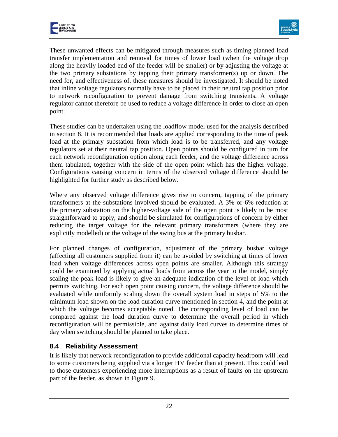



These unwanted effects can be mitigated through measures such as timing planned load transfer implementation and removal for times of lower load (when the voltage drop along the heavily loaded end of the feeder will be smaller) or by adjusting the voltage at the two primary substations by tapping their primary transformer(s) up or down. The need for, and effectiveness of, these measures should be investigated. It should be noted that inline voltage regulators normally have to be placed in their neutral tap position prior to network reconfiguration to prevent damage from switching transients. A voltage regulator cannot therefore be used to reduce a voltage difference in order to close an open point.

These studies can be undertaken using the loadflow model used for the analysis described in section [8.](#page-17-0) It is recommended that loads are applied corresponding to the time of peak load at the primary substation from which load is to be transferred, and any voltage regulators set at their neutral tap position. Open points should be configured in turn for each network reconfiguration option along each feeder, and the voltage difference across them tabulated, together with the side of the open point which has the higher voltage. Configurations causing concern in terms of the observed voltage difference should be highlighted for further study as described below.

Where any observed voltage difference gives rise to concern, tapping of the primary transformers at the substations involved should be evaluated. A 3% or 6% reduction at the primary substation on the higher-voltage side of the open point is likely to be most straightforward to apply, and should be simulated for configurations of concern by either reducing the target voltage for the relevant primary transformers (where they are explicitly modelled) or the voltage of the swing bus at the primary busbar.

For planned changes of configuration, adjustment of the primary busbar voltage (affecting all customers supplied from it) can be avoided by switching at times of lower load when voltage differences across open points are smaller. Although this strategy could be examined by applying actual loads from across the year to the model, simply scaling the peak load is likely to give an adequate indication of the level of load which permits switching. For each open point causing concern, the voltage difference should be evaluated while uniformly scaling down the overall system load in steps of 5% to the minimum load shown on the load duration curve mentioned in section 4, and the point at which the voltage becomes acceptable noted. The corresponding level of load can be compared against the load duration curve to determine the overall period in which reconfiguration will be permissible, and against daily load curves to determine times of day when switching should be planned to take place.

## <span id="page-22-0"></span>**8.4 Reliability Assessment**

It is likely that network reconfiguration to provide additional capacity headroom will lead to some customers being supplied via a longer HV feeder than at present. This could lead to those customers experiencing more interruptions as a result of faults on the upstream part of the feeder, as shown in [Figure 9.](#page-23-0)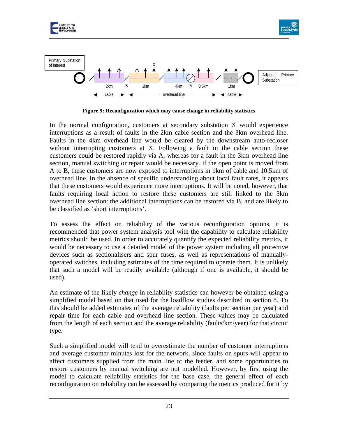

**Figure 9: Reconfiguration which may cause change in reliability statistics**

<span id="page-23-0"></span>In the normal configuration, customers at secondary substation X would experience interruptions as a result of faults in the 2km cable section and the 3km overhead line. Faults in the 4km overhead line would be cleared by the downstream auto-recloser without interrupting customers at X. Following a fault in the cable section these customers could be restored rapidly via A, whereas for a fault in the 3km overhead line section, manual switching or repair would be necessary. If the open point is moved from A to B, these customers are now exposed to interruptions in 1km of cable and 10.5km of overhead line. In the absence of specific understanding about local fault rates, it appears that these customers would experience more interruptions. It will be noted, however, that faults requiring local action to restore these customers are still linked to the 3km overhead line section: the additional interruptions can be restored via B, and are likely to be classified as 'short interruptions'.

To assess the effect on reliability of the various reconfiguration options, it is recommended that power system analysis tool with the capability to calculate reliability metrics should be used. In order to accurately quantify the expected reliability metrics, it would be necessary to use a detailed model of the power system including all protective devices such as sectionalisers and spur fuses, as well as representations of manuallyoperated switches, including estimates of the time required to operate them. It is unlikely that such a model will be readily available (although if one is available, it should be used).

An estimate of the likely *change* in reliability statistics can however be obtained using a simplified model based on that used for the loadflow studies described in section [8.](#page-17-0) To this should be added estimates of the average reliability (faults per section per year) and repair time for each cable and overhead line section. These values may be calculated from the length of each section and the average reliability (faults/km/year) for that circuit type.

Such a simplified model will tend to overestimate the number of customer interruptions and average customer minutes lost for the network, since faults on spurs will appear to affect customers supplied from the main line of the feeder, and some opportunities to restore customers by manual switching are not modelled. However, by first using the model to calculate reliability statistics for the base case, the general effect of each reconfiguration on reliability can be assessed by comparing the metrics produced for it by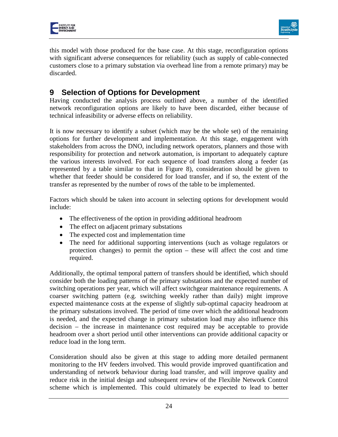



this model with those produced for the base case. At this stage, reconfiguration options with significant adverse consequences for reliability (such as supply of cable-connected customers close to a primary substation via overhead line from a remote primary) may be discarded.

# <span id="page-24-0"></span>**9 Selection of Options for Development**

Having conducted the analysis process outlined above, a number of the identified network reconfiguration options are likely to have been discarded, either because of technical infeasibility or adverse effects on reliability.

It is now necessary to identify a subset (which may be the whole set) of the remaining options for further development and implementation. At this stage, engagement with stakeholders from across the DNO, including network operators, planners and those with responsibility for protection and network automation, is important to adequately capture the various interests involved. For each sequence of load transfers along a feeder (as represented by a table similar to that in [Figure 8\)](#page-21-1), consideration should be given to whether that feeder should be considered for load transfer, and if so, the extent of the transfer as represented by the number of rows of the table to be implemented.

Factors which should be taken into account in selecting options for development would include:

- The effectiveness of the option in providing additional headroom
- The effect on adjacent primary substations
- The expected cost and implementation time
- The need for additional supporting interventions (such as voltage regulators or protection changes) to permit the option – these will affect the cost and time required.

Additionally, the optimal temporal pattern of transfers should be identified, which should consider both the loading patterns of the primary substations and the expected number of switching operations per year, which will affect switchgear maintenance requirements. A coarser switching pattern (e.g. switching weekly rather than daily) might improve expected maintenance costs at the expense of slightly sub-optimal capacity headroom at the primary substations involved. The period of time over which the additional headroom is needed, and the expected change in primary substation load may also influence this decision – the increase in maintenance cost required may be acceptable to provide headroom over a short period until other interventions can provide additional capacity or reduce load in the long term.

Consideration should also be given at this stage to adding more detailed permanent monitoring to the HV feeders involved. This would provide improved quantification and understanding of network behaviour during load transfer, and will improve quality and reduce risk in the initial design and subsequent review of the Flexible Network Control scheme which is implemented. This could ultimately be expected to lead to better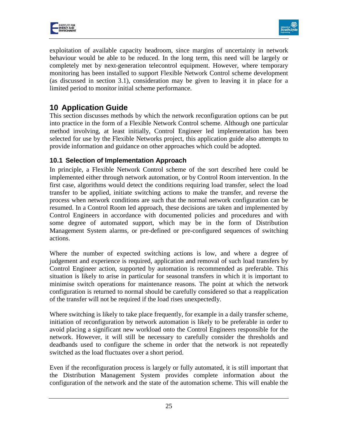



exploitation of available capacity headroom, since margins of uncertainty in network behaviour would be able to be reduced. In the long term, this need will be largely or completely met by next-generation telecontrol equipment. However, where temporary monitoring has been installed to support Flexible Network Control scheme development (as discussed in section 3.1), consideration may be given to leaving it in place for a limited period to monitor initial scheme performance.

# <span id="page-25-0"></span>**10 Application Guide**

This section discusses methods by which the network reconfiguration options can be put into practice in the form of a Flexible Network Control scheme. Although one particular method involving, at least initially, Control Engineer led implementation has been selected for use by the Flexible Networks project, this application guide also attempts to provide information and guidance on other approaches which could be adopted.

## <span id="page-25-1"></span>**10.1 Selection of Implementation Approach**

In principle, a Flexible Network Control scheme of the sort described here could be implemented either through network automation, or by Control Room intervention. In the first case, algorithms would detect the conditions requiring load transfer, select the load transfer to be applied, initiate switching actions to make the transfer, and reverse the process when network conditions are such that the normal network configuration can be resumed. In a Control Room led approach, these decisions are taken and implemented by Control Engineers in accordance with documented policies and procedures and with some degree of automated support, which may be in the form of Distribution Management System alarms, or pre-defined or pre-configured sequences of switching actions.

Where the number of expected switching actions is low, and where a degree of judgement and experience is required, application and removal of such load transfers by Control Engineer action, supported by automation is recommended as preferable. This situation is likely to arise in particular for seasonal transfers in which it is important to minimise switch operations for maintenance reasons. The point at which the network configuration is returned to normal should be carefully considered so that a reapplication of the transfer will not be required if the load rises unexpectedly.

Where switching is likely to take place frequently, for example in a daily transfer scheme, initiation of reconfiguration by network automation is likely to be preferable in order to avoid placing a significant new workload onto the Control Engineers responsible for the network. However, it will still be necessary to carefully consider the thresholds and deadbands used to configure the scheme in order that the network is not repeatedly switched as the load fluctuates over a short period.

Even if the reconfiguration process is largely or fully automated, it is still important that the Distribution Management System provides complete information about the configuration of the network and the state of the automation scheme. This will enable the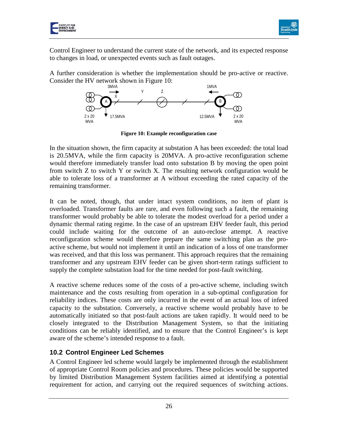



Control Engineer to understand the current state of the network, and its expected response to changes in load, or unexpected events such as fault outages.

A further consideration is whether the implementation should be pro-active or reactive. Consider the HV network shown in Figure 10:



**Figure 10: Example reconfiguration case**

In the situation shown, the firm capacity at substation A has been exceeded: the total load is 20.5MVA, while the firm capacity is 20MVA. A pro-active reconfiguration scheme would therefore immediately transfer load onto substation B by moving the open point from switch Z to switch Y or switch X. The resulting network configuration would be able to tolerate loss of a transformer at A without exceeding the rated capacity of the remaining transformer.

It can be noted, though, that under intact system conditions, no item of plant is overloaded. Transformer faults are rare, and even following such a fault, the remaining transformer would probably be able to tolerate the modest overload for a period under a dynamic thermal rating regime. In the case of an upstream EHV feeder fault, this period could include waiting for the outcome of an auto-reclose attempt. A reactive reconfiguration scheme would therefore prepare the same switching plan as the proactive scheme, but would not implement it until an indication of a loss of one transformer was received, and that this loss was permanent. This approach requires that the remaining transformer and any upstream EHV feeder can be given short-term ratings sufficient to supply the complete substation load for the time needed for post-fault switching.

A reactive scheme reduces some of the costs of a pro-active scheme, including switch maintenance and the costs resulting from operation in a sub-optimal configuration for reliability indices. These costs are only incurred in the event of an actual loss of infeed capacity to the substation. Conversely, a reactive scheme would probably have to be automatically initiated so that post-fault actions are taken rapidly. It would need to be closely integrated to the Distribution Management System, so that the initiating conditions can be reliably identified, and to ensure that the Control Engineer's is kept aware of the scheme's intended response to a fault.

## <span id="page-26-0"></span>**10.2 Control Engineer Led Schemes**

A Control Engineer led scheme would largely be implemented through the establishment of appropriate Control Room policies and procedures. These policies would be supported by limited Distribution Management System facilities aimed at identifying a potential requirement for action, and carrying out the required sequences of switching actions.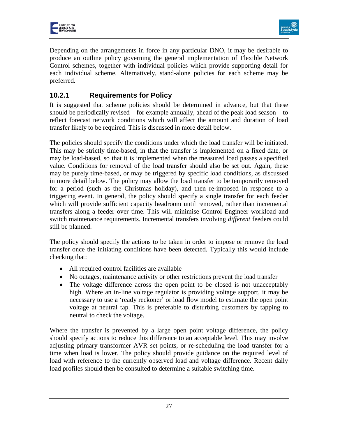



Depending on the arrangements in force in any particular DNO, it may be desirable to produce an outline policy governing the general implementation of Flexible Network Control schemes, together with individual policies which provide supporting detail for each individual scheme. Alternatively, stand-alone policies for each scheme may be preferred.

# <span id="page-27-0"></span>**10.2.1 Requirements for Policy**

It is suggested that scheme policies should be determined in advance, but that these should be periodically revised – for example annually, ahead of the peak load season – to reflect forecast network conditions which will affect the amount and duration of load transfer likely to be required. This is discussed in more detail below.

The policies should specify the conditions under which the load transfer will be initiated. This may be strictly time-based, in that the transfer is implemented on a fixed date, or may be load-based, so that it is implemented when the measured load passes a specified value. Conditions for removal of the load transfer should also be set out. Again, these may be purely time-based, or may be triggered by specific load conditions, as discussed in more detail below. The policy may allow the load transfer to be temporarily removed for a period (such as the Christmas holiday), and then re-imposed in response to a triggering event. In general, the policy should specify a single transfer for each feeder which will provide sufficient capacity headroom until removed, rather than incremental transfers along a feeder over time. This will minimise Control Engineer workload and switch maintenance requirements. Incremental transfers involving *different* feeders could still be planned.

The policy should specify the actions to be taken in order to impose or remove the load transfer once the initiating conditions have been detected. Typically this would include checking that:

- All required control facilities are available
- No outages, maintenance activity or other restrictions prevent the load transfer
- The voltage difference across the open point to be closed is not unacceptably high. Where an in-line voltage regulator is providing voltage support, it may be necessary to use a 'ready reckoner' or load flow model to estimate the open point voltage at neutral tap. This is preferable to disturbing customers by tapping to neutral to check the voltage.

Where the transfer is prevented by a large open point voltage difference, the policy should specify actions to reduce this difference to an acceptable level. This may involve adjusting primary transformer AVR set points, or re-scheduling the load transfer for a time when load is lower. The policy should provide guidance on the required level of load with reference to the currently observed load and voltage difference. Recent daily load profiles should then be consulted to determine a suitable switching time.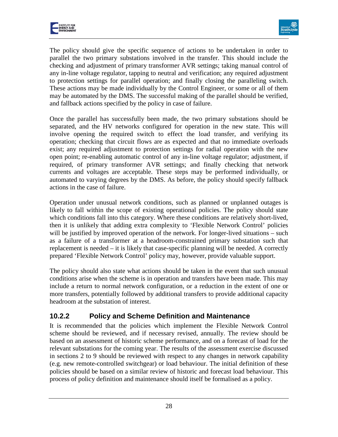

The policy should give the specific sequence of actions to be undertaken in order to parallel the two primary substations involved in the transfer. This should include the checking and adjustment of primary transformer AVR settings; taking manual control of any in-line voltage regulator, tapping to neutral and verification; any required adjustment to protection settings for parallel operation; and finally closing the paralleling switch. These actions may be made individually by the Control Engineer, or some or all of them may be automated by the DMS. The successful making of the parallel should be verified, and fallback actions specified by the policy in case of failure.

Once the parallel has successfully been made, the two primary substations should be separated, and the HV networks configured for operation in the new state. This will involve opening the required switch to effect the load transfer, and verifying its operation; checking that circuit flows are as expected and that no immediate overloads exist; any required adjustment to protection settings for radial operation with the new open point; re-enabling automatic control of any in-line voltage regulator; adjustment, if required, of primary transformer AVR settings; and finally checking that network currents and voltages are acceptable. These steps may be performed individually, or automated to varying degrees by the DMS. As before, the policy should specify fallback actions in the case of failure.

Operation under unusual network conditions, such as planned or unplanned outages is likely to fall within the scope of existing operational policies. The policy should state which conditions fall into this category. Where these conditions are relatively short-lived, then it is unlikely that adding extra complexity to 'Flexible Network Control' policies will be justified by improved operation of the network. For longer-lived situations – such as a failure of a transformer at a headroom-constrained primary substation such that replacement is needed – it is likely that case-specific planning will be needed. A correctly prepared 'Flexible Network Control' policy may, however, provide valuable support.

The policy should also state what actions should be taken in the event that such unusual conditions arise when the scheme is in operation and transfers have been made. This may include a return to normal network configuration, or a reduction in the extent of one or more transfers, potentially followed by additional transfers to provide additional capacity headroom at the substation of interest.

# <span id="page-28-0"></span>**10.2.2 Policy and Scheme Definition and Maintenance**

It is recommended that the policies which implement the Flexible Network Control scheme should be reviewed, and if necessary revised, annually. The review should be based on an assessment of historic scheme performance, and on a forecast of load for the relevant substations for the coming year. The results of the assessment exercise discussed in sections 2 to 9 should be reviewed with respect to any changes in network capability (e.g. new remote-controlled switchgear) or load behaviour. The initial definition of these policies should be based on a similar review of historic and forecast load behaviour. This process of policy definition and maintenance should itself be formalised as a policy.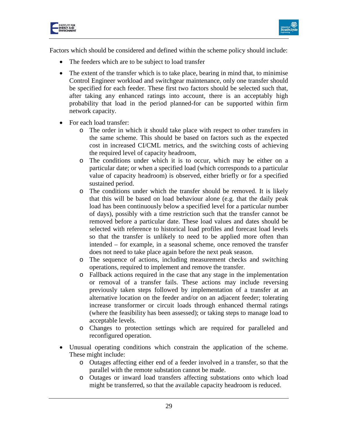



Factors which should be considered and defined within the scheme policy should include:

- The feeders which are to be subject to load transfer
- The extent of the transfer which is to take place, bearing in mind that, to minimise Control Engineer workload and switchgear maintenance, only one transfer should be specified for each feeder. These first two factors should be selected such that, after taking any enhanced ratings into account, there is an acceptably high probability that load in the period planned-for can be supported within firm network capacity.
- For each load transfer:
	- o The order in which it should take place with respect to other transfers in the same scheme. This should be based on factors such as the expected cost in increased CI/CML metrics, and the switching costs of achieving the required level of capacity headroom,
	- o The conditions under which it is to occur, which may be either on a particular date; or when a specified load (which corresponds to a particular value of capacity headroom) is observed, either briefly or for a specified sustained period.
	- o The conditions under which the transfer should be removed. It is likely that this will be based on load behaviour alone (e.g. that the daily peak load has been continuously below a specified level for a particular number of days), possibly with a time restriction such that the transfer cannot be removed before a particular date. These load values and dates should be selected with reference to historical load profiles and forecast load levels so that the transfer is unlikely to need to be applied more often than intended – for example, in a seasonal scheme, once removed the transfer does not need to take place again before the next peak season.
	- o The sequence of actions, including measurement checks and switching operations, required to implement and remove the transfer.
	- o Fallback actions required in the case that any stage in the implementation or removal of a transfer fails. These actions may include reversing previously taken steps followed by implementation of a transfer at an alternative location on the feeder and/or on an adjacent feeder; tolerating increase transformer or circuit loads through enhanced thermal ratings (where the feasibility has been assessed); or taking steps to manage load to acceptable levels.
	- o Changes to protection settings which are required for paralleled and reconfigured operation.
- Unusual operating conditions which constrain the application of the scheme. These might include:
	- o Outages affecting either end of a feeder involved in a transfer, so that the parallel with the remote substation cannot be made.
	- o Outages or inward load transfers affecting substations onto which load might be transferred, so that the available capacity headroom is reduced.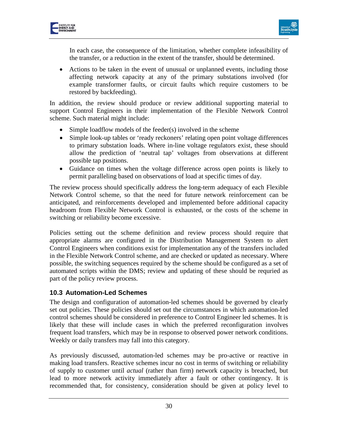



In each case, the consequence of the limitation, whether complete infeasibility of the transfer, or a reduction in the extent of the transfer, should be determined.

• Actions to be taken in the event of unusual or unplanned events, including those affecting network capacity at any of the primary substations involved (for example transformer faults, or circuit faults which require customers to be restored by backfeeding).

In addition, the review should produce or review additional supporting material to support Control Engineers in their implementation of the Flexible Network Control scheme. Such material might include:

- Simple loadflow models of the feeder(s) involved in the scheme
- Simple look-up tables or 'ready reckoners' relating open point voltage differences to primary substation loads. Where in-line voltage regulators exist, these should allow the prediction of 'neutral tap' voltages from observations at different possible tap positions.
- Guidance on times when the voltage difference across open points is likely to permit paralleling based on observations of load at specific times of day.

The review process should specifically address the long-term adequacy of each Flexible Network Control scheme, so that the need for future network reinforcement can be anticipated, and reinforcements developed and implemented before additional capacity headroom from Flexible Network Control is exhausted, or the costs of the scheme in switching or reliability become excessive.

Policies setting out the scheme definition and review process should require that appropriate alarms are configured in the Distribution Management System to alert Control Engineers when conditions exist for implementation any of the transfers included in the Flexible Network Control scheme, and are checked or updated as necessary. Where possible, the switching sequences required by the scheme should be configured as a set of automated scripts within the DMS; review and updating of these should be requried as part of the policy review process.

#### <span id="page-30-0"></span>**10.3 Automation-Led Schemes**

The design and configuration of automation-led schemes should be governed by clearly set out policies. These policies should set out the circumstances in which automation-led control schemes should be considered in preference to Control Engineer led schemes. It is likely that these will include cases in which the preferred reconfiguration involves frequent load transfers, which may be in response to observed power network conditions. Weekly or daily transfers may fall into this category.

As previously discussed, automation-led schemes may be pro-active or reactive in making load transfers. Reactive schemes incur no cost in terms of switching or reliability of supply to customer until *actual* (rather than firm) network capacity is breached, but lead to more network activity immediately after a fault or other contingency. It is recommended that, for consistency, consideration should be given at policy level to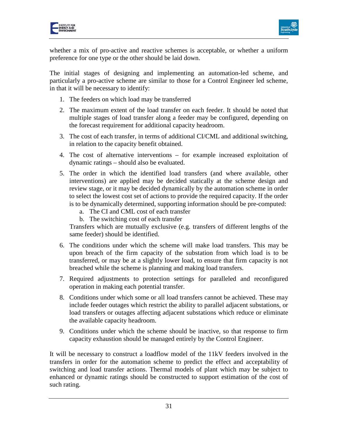



whether a mix of pro-active and reactive schemes is acceptable, or whether a uniform preference for one type or the other should be laid down.

The initial stages of designing and implementing an automation-led scheme, and particularly a pro-active scheme are similar to those for a Control Engineer led scheme, in that it will be necessary to identify:

- 1. The feeders on which load may be transferred
- 2. The maximum extent of the load transfer on each feeder. It should be noted that multiple stages of load transfer along a feeder may be configured, depending on the forecast requirement for additional capacity headroom.
- 3. The cost of each transfer, in terms of additional CI/CML and additional switching, in relation to the capacity benefit obtained.
- 4. The cost of alternative interventions for example increased exploitation of dynamic ratings – should also be evaluated.
- 5. The order in which the identified load transfers (and where available, other interventions) are applied may be decided statically at the scheme design and review stage, or it may be decided dynamically by the automation scheme in order to select the lowest cost set of actions to provide the required capacity. If the order is to be dynamically determined, supporting information should be pre-computed:
	- a. The CI and CML cost of each transfer
	- b. The switching cost of each transfer

Transfers which are mutually exclusive (e.g. transfers of different lengths of the same feeder) should be identified.

- 6. The conditions under which the scheme will make load transfers. This may be upon breach of the firm capacity of the substation from which load is to be transferred, or may be at a slightly lower load, to ensure that firm capacity is not breached while the scheme is planning and making load transfers.
- 7. Required adjustments to protection settings for paralleled and reconfigured operation in making each potential transfer.
- 8. Conditions under which some or all load transfers cannot be achieved. These may include feeder outages which restrict the ability to parallel adjacent substations, or load transfers or outages affecting adjacent substations which reduce or eliminate the available capacity headroom.
- 9. Conditions under which the scheme should be inactive, so that response to firm capacity exhaustion should be managed entirely by the Control Engineer.

It will be necessary to construct a loadflow model of the 11kV feeders involved in the transfers in order for the automation scheme to predict the effect and acceptability of switching and load transfer actions. Thermal models of plant which may be subject to enhanced or dynamic ratings should be constructed to support estimation of the cost of such rating.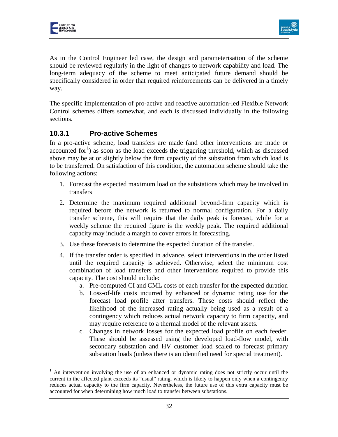



As in the Control Engineer led case, the design and parameterisation of the scheme should be reviewed regularly in the light of changes to network capability and load. The long-term adequacy of the scheme to meet anticipated future demand should be specifically considered in order that required reinforcements can be delivered in a timely way.

The specific implementation of pro-active and reactive automation-led Flexible Network Control schemes differs somewhat, and each is discussed individually in the following sections.

## <span id="page-32-0"></span>**10.3.1 Pro-active Schemes**

In a pro-active scheme, load transfers are made (and other interventions are made or accounted for<sup>[1](#page-32-1)</sup>) as soon as the load exceeds the triggering threshold, which as discussed above may be at or slightly below the firm capacity of the substation from which load is to be transferred. On satisfaction of this condition, the automation scheme should take the following actions:

- 1. Forecast the expected maximum load on the substations which may be involved in transfers
- 2. Determine the maximum required additional beyond-firm capacity which is required before the network is returned to normal configuration. For a daily transfer scheme, this will require that the daily peak is forecast, while for a weekly scheme the required figure is the weekly peak. The required additional capacity may include a margin to cover errors in forecasting.
- 3. Use these forecasts to determine the expected duration of the transfer.
- 4. If the transfer order is specified in advance, select interventions in the order listed until the required capacity is achieved. Otherwise, select the minimum cost combination of load transfers and other interventions required to provide this capacity. The cost should include:
	- a. Pre-computed CI and CML costs of each transfer for the expected duration
	- b. Loss-of-life costs incurred by enhanced or dynamic rating use for the forecast load profile after transfers. These costs should reflect the likelihood of the increased rating actually being used as a result of a contingency which reduces actual network capacity to firm capacity, and may require reference to a thermal model of the relevant assets.
	- c. Changes in network losses for the expected load profile on each feeder. These should be assessed using the developed load-flow model, with secondary substation and HV customer load scaled to forecast primary substation loads (unless there is an identified need for special treatment).

<span id="page-32-1"></span><sup>1</sup> An intervention involving the use of an enhanced or dynamic rating does not strictly occur until the current in the affected plant exceeds its "usual" rating, which is likely to happen only when a contingency reduces actual capacity to the firm capacity. Nevertheless, the future use of this extra capacity must be accounted for when determining how much load to transfer between substations.  $\overline{a}$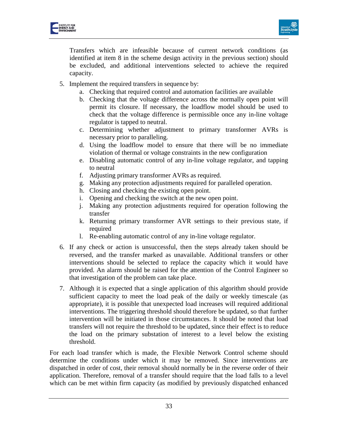

Transfers which are infeasible because of current network conditions (as identified at item 8 in the scheme design activity in the previous section) should be excluded, and additional interventions selected to achieve the required capacity.

- 5. Implement the required transfers in sequence by:
	- a. Checking that required control and automation facilities are available
	- b. Checking that the voltage difference across the normally open point will permit its closure. If necessary, the loadflow model should be used to check that the voltage difference is permissible once any in-line voltage regulator is tapped to neutral.
	- c. Determining whether adjustment to primary transformer AVRs is necessary prior to paralleling.
	- d. Using the loadflow model to ensure that there will be no immediate violation of thermal or voltage constraints in the new configuration
	- e. Disabling automatic control of any in-line voltage regulator, and tapping to neutral
	- f. Adjusting primary transformer AVRs as required.
	- g. Making any protection adjustments required for paralleled operation.
	- h. Closing and checking the existing open point.
	- i. Opening and checking the switch at the new open point.
	- j. Making any protection adjustments required for operation following the transfer
	- k. Returning primary transformer AVR settings to their previous state, if required
	- l. Re-enabling automatic control of any in-line voltage regulator.
- 6. If any check or action is unsuccessful, then the steps already taken should be reversed, and the transfer marked as unavailable. Additional transfers or other interventions should be selected to replace the capacity which it would have provided. An alarm should be raised for the attention of the Control Engineer so that investigation of the problem can take place.
- 7. Although it is expected that a single application of this algorithm should provide sufficient capacity to meet the load peak of the daily or weekly timescale (as appropriate), it is possible that unexpected load increases will required additional interventions. The triggering threshold should therefore be updated, so that further intervention will be initiated in those circumstances. It should be noted that load transfers will not require the threshold to be updated, since their effect is to reduce the load on the primary substation of interest to a level below the existing threshold.

For each load transfer which is made, the Flexible Network Control scheme should determine the conditions under which it may be removed. Since interventions are dispatched in order of cost, their removal should normally be in the reverse order of their application. Therefore, removal of a transfer should require that the load falls to a level which can be met within firm capacity (as modified by previously dispatched enhanced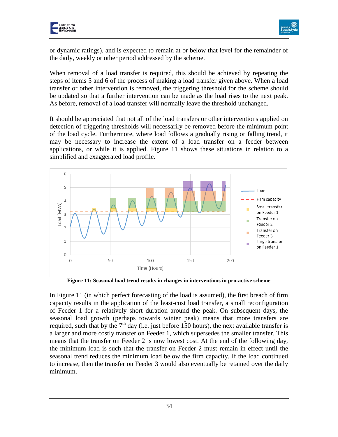

or dynamic ratings), and is expected to remain at or below that level for the remainder of the daily, weekly or other period addressed by the scheme.

When removal of a load transfer is required, this should be achieved by repeating the steps of items 5 and 6 of the process of making a load transfer given above. When a load transfer or other intervention is removed, the triggering threshold for the scheme should be updated so that a further intervention can be made as the load rises to the next peak. As before, removal of a load transfer will normally leave the threshold unchanged.

It should be appreciated that not all of the load transfers or other interventions applied on detection of triggering thresholds will necessarily be removed before the minimum point of the load cycle. Furthermore, where load follows a gradually rising or falling trend, it may be necessary to increase the extent of a load transfer on a feeder between applications, or while it is applied. Figure 11 shows these situations in relation to a simplified and exaggerated load profile.



**Figure 11: Seasonal load trend results in changes in interventions in pro-active scheme**

In Figure 11 (in which perfect forecasting of the load is assumed), the first breach of firm capacity results in the application of the least-cost load transfer, a small reconfiguration of Feeder 1 for a relatively short duration around the peak. On subsequent days, the seasonal load growth (perhaps towards winter peak) means that more transfers are required, such that by the  $7<sup>th</sup>$  day (i.e. just before 150 hours), the next available transfer is a larger and more costly transfer on Feeder 1, which supersedes the smaller transfer. This means that the transfer on Feeder 2 is now lowest cost. At the end of the following day, the minimum load is such that the transfer on Feeder 2 must remain in effect until the seasonal trend reduces the minimum load below the firm capacity. If the load continued to increase, then the transfer on Feeder 3 would also eventually be retained over the daily minimum.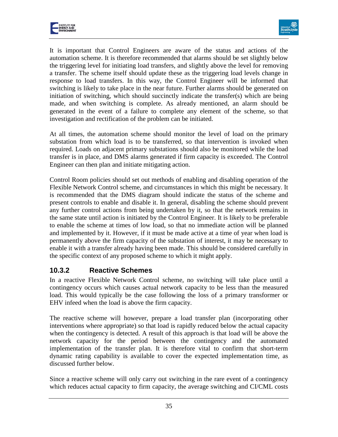



It is important that Control Engineers are aware of the status and actions of the automation scheme. It is therefore recommended that alarms should be set slightly below the triggering level for initiating load transfers, and slightly above the level for removing a transfer. The scheme itself should update these as the triggering load levels change in response to load transfers. In this way, the Control Engineer will be informed that switching is likely to take place in the near future. Further alarms should be generated on initiation of switching, which should succinctly indicate the transfer(s) which are being made, and when switching is complete. As already mentioned, an alarm should be generated in the event of a failure to complete any element of the scheme, so that investigation and rectification of the problem can be initiated.

At all times, the automation scheme should monitor the level of load on the primary substation from which load is to be transferred, so that intervention is invoked when required. Loads on adjacent primary substations should also be monitored while the load transfer is in place, and DMS alarms generated if firm capacity is exceeded. The Control Engineer can then plan and initiate mitigating action.

Control Room policies should set out methods of enabling and disabling operation of the Flexible Network Control scheme, and circumstances in which this might be necessary. It is recommended that the DMS diagram should indicate the status of the scheme and present controls to enable and disable it. In general, disabling the scheme should prevent any further control actions from being undertaken by it, so that the network remains in the same state until action is initiated by the Control Engineer. It is likely to be preferable to enable the scheme at times of low load, so that no immediate action will be planned and implemented by it. However, if it must be made active at a time of year when load is permanently above the firm capacity of the substation of interest, it may be necessary to enable it with a transfer already having been made. This should be considered carefully in the specific context of any proposed scheme to which it might apply.

# <span id="page-35-0"></span>**10.3.2 Reactive Schemes**

In a reactive Flexible Network Control scheme, no switching will take place until a contingency occurs which causes actual network capacity to be less than the measured load. This would typically be the case following the loss of a primary transformer or EHV infeed when the load is above the firm capacity.

The reactive scheme will however, prepare a load transfer plan (incorporating other interventions where appropriate) so that load is rapidly reduced below the actual capacity when the contingency is detected. A result of this approach is that load will be above the network capacity for the period between the contingency and the automated implementation of the transfer plan. It is therefore vital to confirm that short-term dynamic rating capability is available to cover the expected implementation time, as discussed further below.

Since a reactive scheme will only carry out switching in the rare event of a contingency which reduces actual capacity to firm capacity, the average switching and CI/CML costs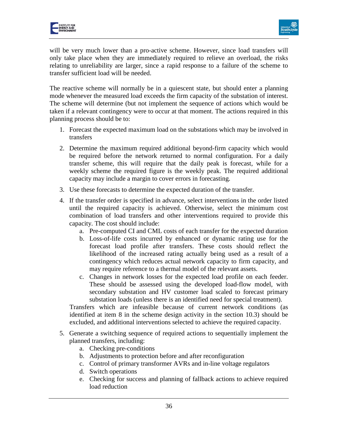

will be very much lower than a pro-active scheme. However, since load transfers will only take place when they are immediately required to relieve an overload, the risks relating to unreliability are larger, since a rapid response to a failure of the scheme to transfer sufficient load will be needed.

The reactive scheme will normally be in a quiescent state, but should enter a planning mode whenever the measured load exceeds the firm capacity of the substation of interest. The scheme will determine (but not implement the sequence of actions which would be taken if a relevant contingency were to occur at that moment. The actions required in this planning process should be to:

- 1. Forecast the expected maximum load on the substations which may be involved in transfers
- 2. Determine the maximum required additional beyond-firm capacity which would be required before the network returned to normal configuration. For a daily transfer scheme, this will require that the daily peak is forecast, while for a weekly scheme the required figure is the weekly peak. The required additional capacity may include a margin to cover errors in forecasting.
- 3. Use these forecasts to determine the expected duration of the transfer.
- 4. If the transfer order is specified in advance, select interventions in the order listed until the required capacity is achieved. Otherwise, select the minimum cost combination of load transfers and other interventions required to provide this capacity. The cost should include:
	- a. Pre-computed CI and CML costs of each transfer for the expected duration
	- b. Loss-of-life costs incurred by enhanced or dynamic rating use for the forecast load profile after transfers. These costs should reflect the likelihood of the increased rating actually being used as a result of a contingency which reduces actual network capacity to firm capacity, and may require reference to a thermal model of the relevant assets.
	- c. Changes in network losses for the expected load profile on each feeder. These should be assessed using the developed load-flow model, with secondary substation and HV customer load scaled to forecast primary substation loads (unless there is an identified need for special treatment).

Transfers which are infeasible because of current network conditions (as identified at item 8 in the scheme design activity in the section 10.3) should be excluded, and additional interventions selected to achieve the required capacity.

- 5. Generate a switching sequence of required actions to sequentially implement the planned transfers, including:
	- a. Checking pre-conditions
	- b. Adjustments to protection before and after reconfiguration
	- c. Control of primary transformer AVRs and in-line voltage regulators
	- d. Switch operations
	- e. Checking for success and planning of fallback actions to achieve required load reduction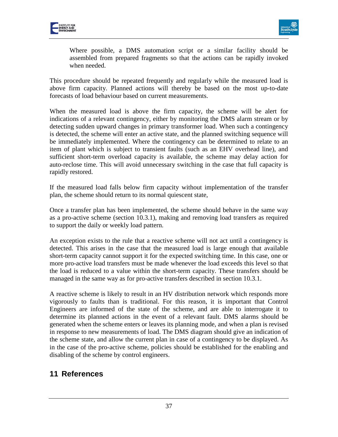



Where possible, a DMS automation script or a similar facility should be assembled from prepared fragments so that the actions can be rapidly invoked when needed.

This procedure should be repeated frequently and regularly while the measured load is above firm capacity. Planned actions will thereby be based on the most up-to-date forecasts of load behaviour based on current measurements.

When the measured load is above the firm capacity, the scheme will be alert for indications of a relevant contingency, either by monitoring the DMS alarm stream or by detecting sudden upward changes in primary transformer load. When such a contingency is detected, the scheme will enter an active state, and the planned switching sequence will be immediately implemented. Where the contingency can be determined to relate to an item of plant which is subject to transient faults (such as an EHV overhead line), and sufficient short-term overload capacity is available, the scheme may delay action for auto-reclose time. This will avoid unnecessary switching in the case that full capacity is rapidly restored.

If the measured load falls below firm capacity without implementation of the transfer plan, the scheme should return to its normal quiescent state,

Once a transfer plan has been implemented, the scheme should behave in the same way as a pro-active scheme (section 10.3.1), making and removing load transfers as required to support the daily or weekly load pattern.

An exception exists to the rule that a reactive scheme will not act until a contingency is detected. This arises in the case that the measured load is large enough that available short-term capacity cannot support it for the expected switching time. In this case, one or more pro-active load transfers must be made whenever the load exceeds this level so that the load is reduced to a value within the short-term capacity. These transfers should be managed in the same way as for pro-active transfers described in section 10.3.1.

A reactive scheme is likely to result in an HV distribution network which responds more vigorously to faults than is traditional. For this reason, it is important that Control Engineers are informed of the state of the scheme, and are able to interrogate it to determine its planned actions in the event of a relevant fault. DMS alarms should be generated when the scheme enters or leaves its planning mode, and when a plan is revised in response to new measurements of load. The DMS diagram should give an indication of the scheme state, and allow the current plan in case of a contingency to be displayed. As in the case of the pro-active scheme, policies should be established for the enabling and disabling of the scheme by control engineers.

# <span id="page-37-0"></span>**11 References**